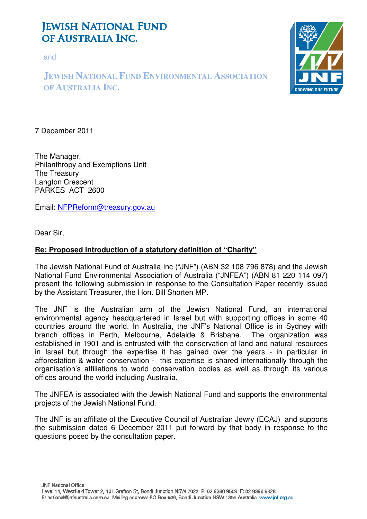# **JEWISH NATIONAL FUND** OF AUSTRALIA INC.

and

### **JEWISH NATIONAL FUND ENVIRONMENTAL ASSOCIATION OF AUSTRALIA INC.**



7 December 2011

The Manager, Philanthropy and Exemptions Unit The Treasury Langton Crescent PARKES ACT 2600

Email: NFPReform@treasury.gov.au

Dear Sir,

#### **Re: Proposed introduction of a statutory definition of "Charity"**

The Jewish National Fund of Australia Inc ("JNF") (ABN 32 108 796 878) and the Jewish National Fund Environmental Association of Australia ("JNFEA") (ABN 81 220 114 097) present the following submission in response to the Consultation Paper recently issued by the Assistant Treasurer, the Hon. Bill Shorten MP.

The JNF is the Australian arm of the Jewish National Fund, an international environmental agency headquartered in Israel but with supporting offices in some 40 countries around the world. In Australia, the JNF's National Office is in Sydney with branch offices in Perth, Melbourne, Adelaide & Brisbane. The organization was established in 1901 and is entrusted with the conservation of land and natural resources in Israel but through the expertise it has gained over the years - in particular in afforestation & water conservation - this expertise is shared internationally through the organisation's affiliations to world conservation bodies as well as through its various offices around the world including Australia.

The JNFEA is associated with the Jewish National Fund and supports the environmental projects of the Jewish National Fund.

The JNF is an affiliate of the Executive Council of Australian Jewry (ECAJ) and supports the submission dated 6 December 2011 put forward by that body in response to the questions posed by the consultation paper.